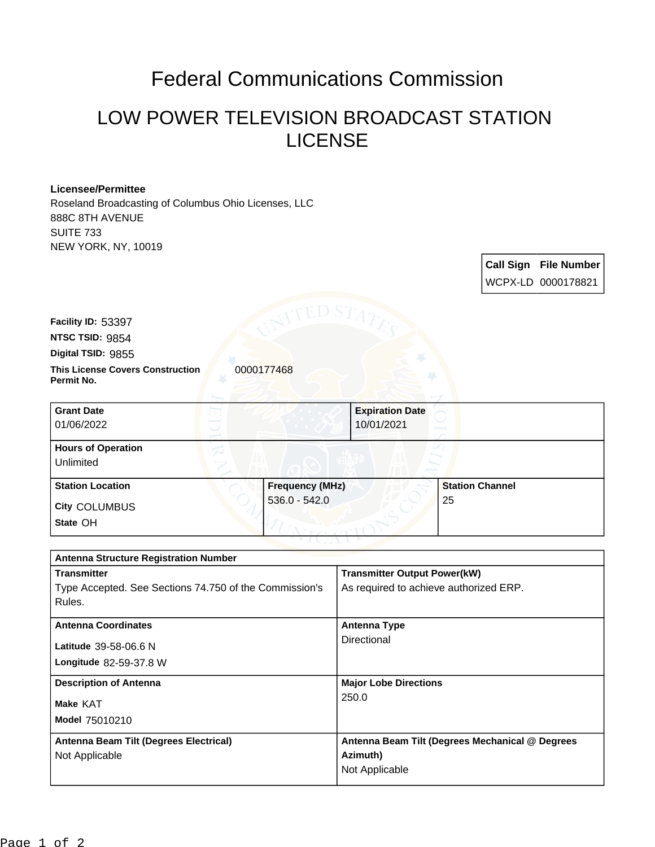## Federal Communications Commission

## LOW POWER TELEVISION BROADCAST STATION LICENSE

## **Licensee/Permittee**

**Permit No.**

**Digital TSID:** 9855 **NTSC TSID:** 9854 **Facility ID:** 53397

Roseland Broadcasting of Columbus Ohio Licenses, LLC 888C 8TH AVENUE SUITE 733 NEW YORK, NY, 10019

WCPX-LD 0000178821 **This License Covers Construction**  0000177468

**Call Sign File Number**

| <b>Grant Date</b><br>01/06/2022                      | 10/01/2021                                | <b>Expiration Date</b>       |
|------------------------------------------------------|-------------------------------------------|------------------------------|
| <b>Hours of Operation</b><br>Unlimited               |                                           |                              |
| <b>Station Location</b><br>City COLUMBUS<br>State OH | <b>Frequency (MHz)</b><br>$536.0 - 542.0$ | <b>Station Channel</b><br>25 |

| <b>Antenna Structure Registration Number</b>           |                                                 |  |  |
|--------------------------------------------------------|-------------------------------------------------|--|--|
| <b>Transmitter</b>                                     | <b>Transmitter Output Power(kW)</b>             |  |  |
| Type Accepted. See Sections 74.750 of the Commission's | As required to achieve authorized ERP.          |  |  |
| Rules.                                                 |                                                 |  |  |
| <b>Antenna Coordinates</b>                             | <b>Antenna Type</b>                             |  |  |
| Latitude 39-58-06.6 N                                  | Directional                                     |  |  |
| <b>Longitude 82-59-37.8 W</b>                          |                                                 |  |  |
|                                                        |                                                 |  |  |
| <b>Description of Antenna</b>                          | <b>Major Lobe Directions</b>                    |  |  |
| Make KAT                                               | 250.0                                           |  |  |
| Model 75010210                                         |                                                 |  |  |
|                                                        |                                                 |  |  |
| Antenna Beam Tilt (Degrees Electrical)                 | Antenna Beam Tilt (Degrees Mechanical @ Degrees |  |  |
| Not Applicable                                         | Azimuth)                                        |  |  |
|                                                        | Not Applicable                                  |  |  |
|                                                        |                                                 |  |  |